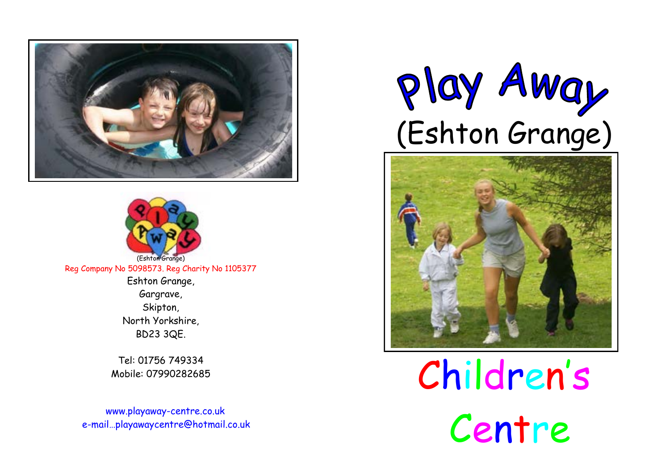



(Eshton Grange) Reg Company No 5098573. Reg Charity No 1105377 Eshton Grange, Gargrave, Skipton, North Yorkshire, BD23 3QE.

> Tel: 01756 749334 Mobile: 07990282685

 www.playaway-centre.co.uk e-mail…playawaycentre@hotmail.co.uk





Children's Centre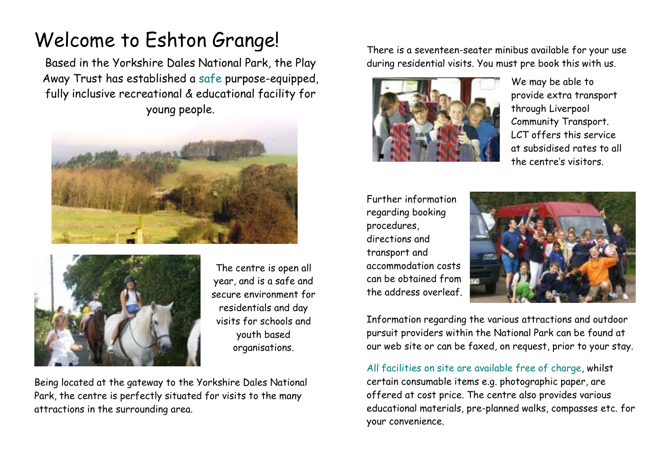## Welcome to Eshton Grange!

Based in the Yorkshire Dales National Park, the Play Away Trust has established a safe purpose-equipped, fully inclusive recreational & educational facility for young people.





The centre is open all year, and is a safe and secure environment for residentials and day visits for schools and youth based organisations.

Being located at the gateway to the Yorkshire Dales National Park, the centre is perfectly situated for visits to the many attractions in the surrounding area.

There is a seventeen-seater minibus available for your use during residential visits. You must pre book this with us.



We may be able to provide extra transport through Liverpool Community Transport. LCT offers this service at subsidised rates to all the centre's visitors.

Further information regarding booking procedures, directions and transport and accommodation costs can be obtained from the address overleaf.



Information regarding the various attractions and outdoor pursuit providers within the National Park can be found at our web site or can be faxed, on request, prior to your stay.

All facilities on site are available free of charge, whilst certain consumable items e.g. photographic paper, are offered at cost price. The centre also provides various educational materials, pre-planned walks, compasses etc. for your convenience.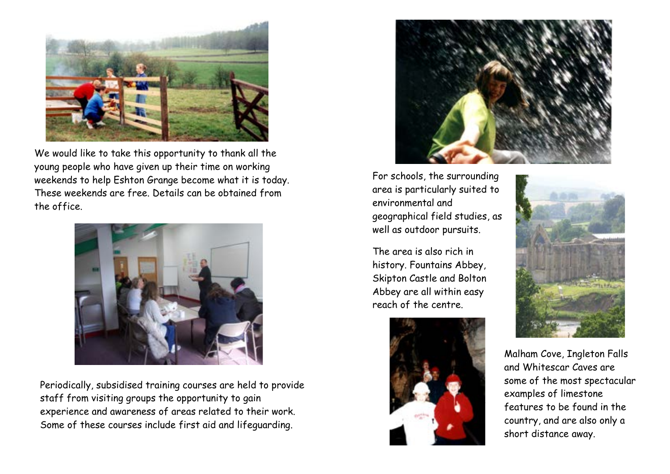

We would like to take this opportunity to thank all the young people who have given up their time on working weekends to help Eshton Grange become what it is today. These weekends are free. Details can be obtained from the office.



Periodically, subsidised training courses are held to provide staff from visiting groups the opportunity to gain experience and awareness of areas related to their work. Some of these courses include first aid and lifeguarding.



For schools, the surrounding area is particularly suited to environmental and geographical field studies, as well as outdoor pursuits.

The area is also rich in history. Fountains Abbey, Skipton Castle and Bolton Abbey are all within easy reach of the centre.





Malham Cove, Ingleton Falls and Whitescar Caves are some of the most spectacular examples of limestone features to be found in the country, and are also only a short distance away.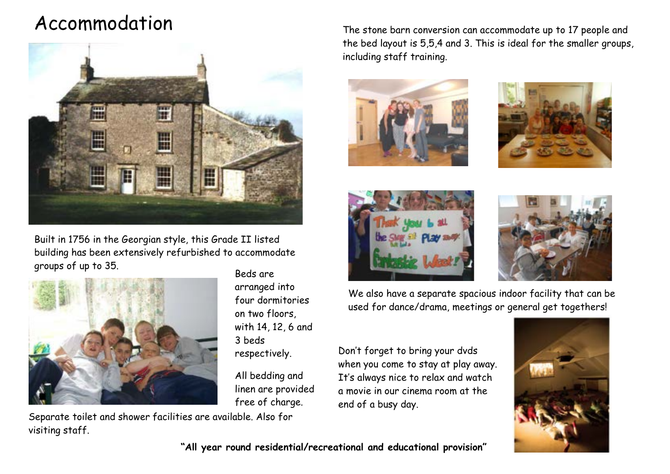## Accommodation



Built in 1756 in the Georgian style, this Grade II listed building has been extensively refurbished to accommodate groups of up to 35.



Beds are arranged into four dormitories on two floors, with 14, 12, 6 and 3 beds respectively.

All bedding and linen are provided free of charge.

Separate toilet and shower facilities are available. Also for visiting staff.

The stone barn conversion can accommodate up to 17 people and the bed layout is 5,5,4 and 3. This is ideal for the smaller groups, including staff training.









We also have a separate spacious indoor facility that can be used for dance/drama, meetings or general get togethers!

Don't forget to bring your dvds when you come to stay at play away. It's always nice to relax and watch a movie in our cinema room at the end of a busy day.



"All year round residential/recreational and educational provision"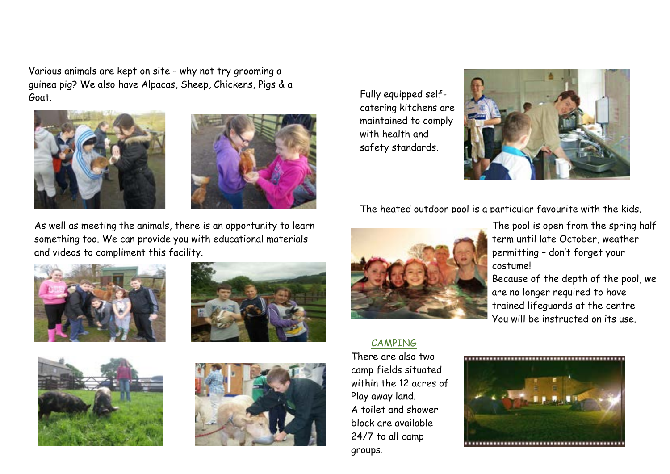Various animals are kept on site – why not try grooming a guinea pig? We also have Alpacas, Sheep, Chickens, Pigs & a Goat.





As well as meeting the animals, there is an opportunity to learn something too. We can provide you with educational materials and videos to compliment this facility.









Fully equipped selfcatering kitchens are maintained to comply with health and safety standards.



The heated outdoor pool is a particular favourite with the kids.



CAMPING

There are also two camp fields situated within the 12 acres of Play away land. A toilet and shower block are available 24/7 to all camp groups.

The pool is open from the spring half term until late October, weather permitting – don't forget your costume!

Because of the depth of the pool, we are no longer required to have trained lifeguards at the centre You will be instructed on its use.